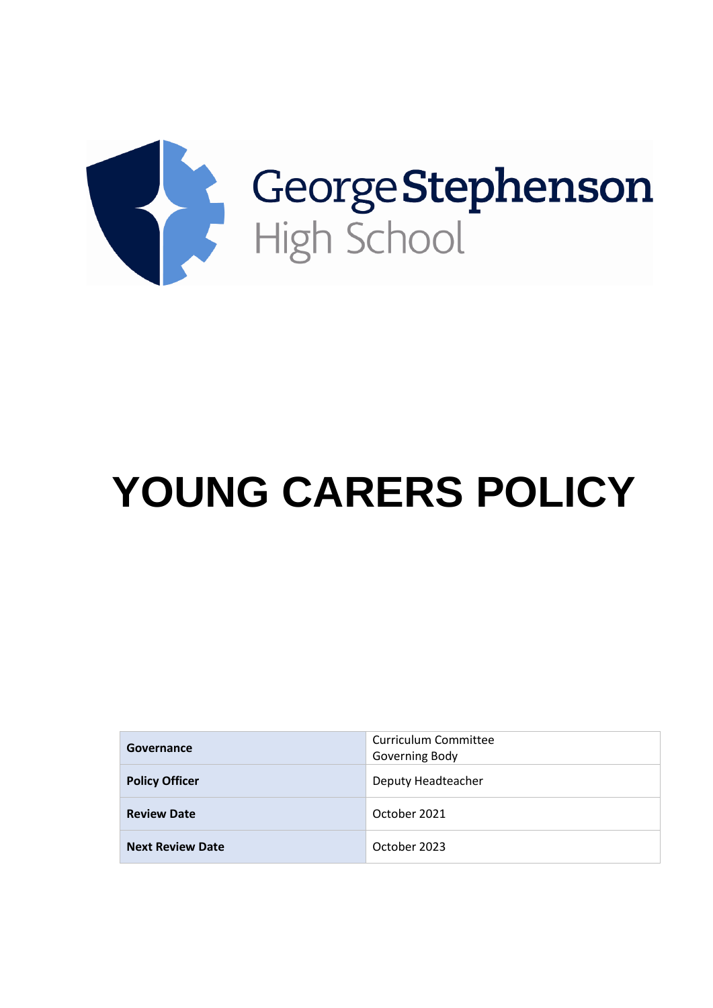

# **YOUNG CARERS POLICY**

| Governance              | Curriculum Committee<br>Governing Body |
|-------------------------|----------------------------------------|
| <b>Policy Officer</b>   | Deputy Headteacher                     |
| <b>Review Date</b>      | October 2021                           |
| <b>Next Review Date</b> | October 2023                           |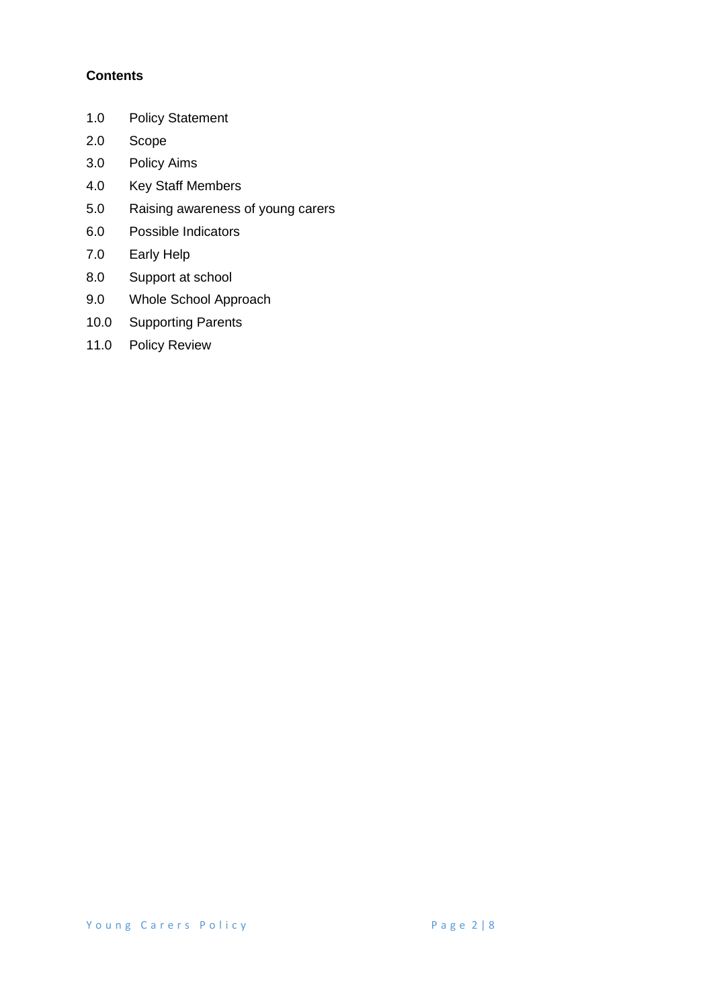# **Contents**

- 1.0 Policy Statement
- 2.0 Scope
- 3.0 Policy Aims
- 4.0 Key Staff Members
- 5.0 Raising awareness of young carers
- 6.0 Possible Indicators
- 7.0 Early Help
- 8.0 Support at school
- 9.0 Whole School Approach
- 10.0 Supporting Parents
- 11.0 Policy Review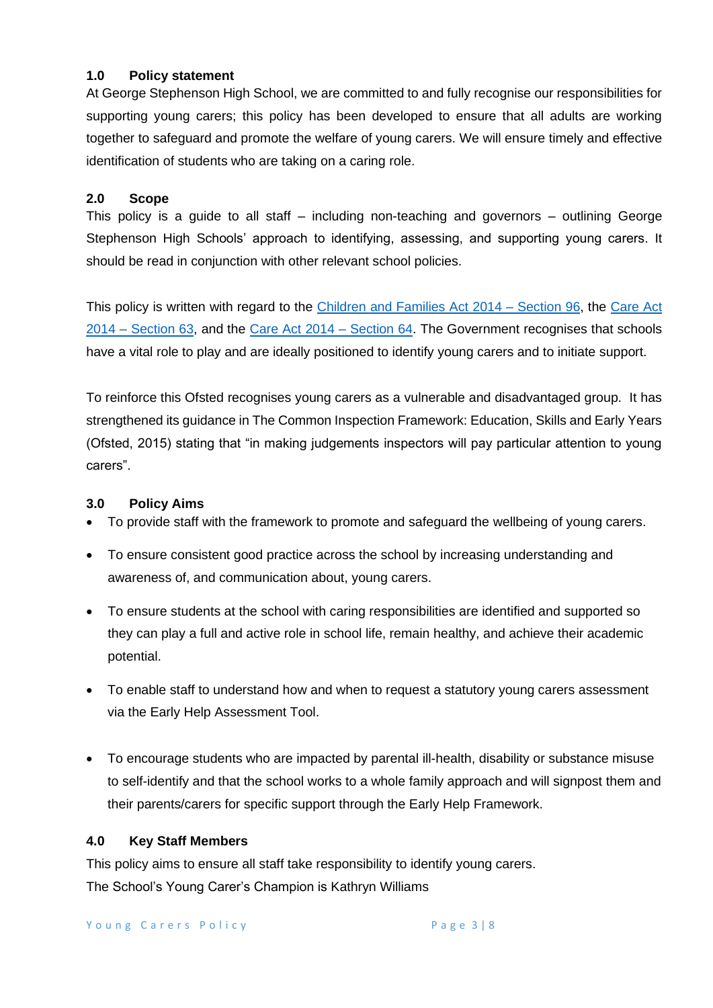### **1.0 Policy statement**

At George Stephenson High School, we are committed to and fully recognise our responsibilities for supporting young carers; this policy has been developed to ensure that all adults are working together to safeguard and promote the welfare of young carers. We will ensure timely and effective identification of students who are taking on a caring role.

#### **2.0 Scope**

This policy is a guide to all staff – including non-teaching and governors – outlining George Stephenson High Schools' approach to identifying, assessing, and supporting young carers. It should be read in conjunction with other relevant school policies.

This policy is written with regard to the [Children and Families Act 2014 –](http://www.legislation.gov.uk/ukpga/2014/6/section/96/enacted) Section 96, the Care Act 2014 – [Section 63,](http://www.legislation.gov.uk/ukpga/2014/23/section/63/enacted) and the [Care Act 2014 –](http://www.legislation.gov.uk/ukpga/2014/23/section/64/enacted) Section 64. The Government recognises that schools have a vital role to play and are ideally positioned to identify young carers and to initiate support.

To reinforce this Ofsted recognises young carers as a vulnerable and disadvantaged group. It has strengthened its guidance in The Common Inspection Framework: Education, Skills and Early Years (Ofsted, 2015) stating that "in making judgements inspectors will pay particular attention to young carers".

## **3.0 Policy Aims**

- To provide staff with the framework to promote and safeguard the wellbeing of young carers.
- To ensure consistent good practice across the school by increasing understanding and awareness of, and communication about, young carers.
- To ensure students at the school with caring responsibilities are identified and supported so they can play a full and active role in school life, remain healthy, and achieve their academic potential.
- To enable staff to understand how and when to request a statutory young carers assessment via the Early Help Assessment Tool.
- To encourage students who are impacted by parental ill-health, disability or substance misuse to self-identify and that the school works to a whole family approach and will signpost them and their parents/carers for specific support through the Early Help Framework.

#### **4.0 Key Staff Members**

This policy aims to ensure all staff take responsibility to identify young carers. The School's Young Carer's Champion is Kathryn Williams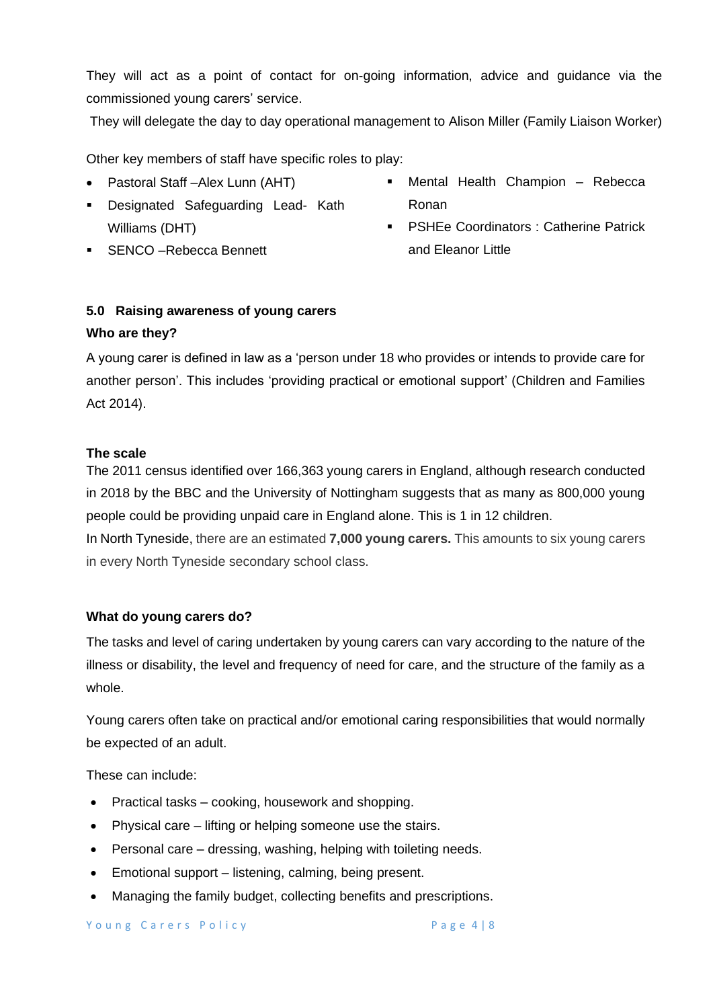They will act as a point of contact for on-going information, advice and guidance via the commissioned young carers' service.

They will delegate the day to day operational management to Alison Miller (Family Liaison Worker)

Other key members of staff have specific roles to play:

- Pastoral Staff –Alex Lunn (AHT)
- Designated Safeguarding Lead- Kath Williams (DHT)
- **EXENCO** –Rebecca Bennett
- Mental Health Champion Rebecca Ronan
- **PSHEe Coordinators: Catherine Patrick** and Eleanor Little

#### **5.0 Raising awareness of young carers**

#### **Who are they?**

A young carer is defined in law as a 'person under 18 who provides or intends to provide care for another person'. This includes 'providing practical or emotional support' (Children and Families Act 2014).

#### **The scale**

The 2011 census identified over 166,363 young carers in England, although research conducted in 2018 by the BBC and the University of Nottingham suggests that as many as 800,000 young people could be providing unpaid care in England alone. This is 1 in 12 children.

In North Tyneside, there are an estimated **7,000 young carers.** This amounts to six young carers in every North Tyneside secondary school class.

#### **What do young carers do?**

The tasks and level of caring undertaken by young carers can vary according to the nature of the illness or disability, the level and frequency of need for care, and the structure of the family as a whole.

Young carers often take on practical and/or emotional caring responsibilities that would normally be expected of an adult.

These can include:

- Practical tasks cooking, housework and shopping.
- Physical care lifting or helping someone use the stairs.
- Personal care dressing, washing, helping with toileting needs.
- Emotional support listening, calming, being present.
- Managing the family budget, collecting benefits and prescriptions.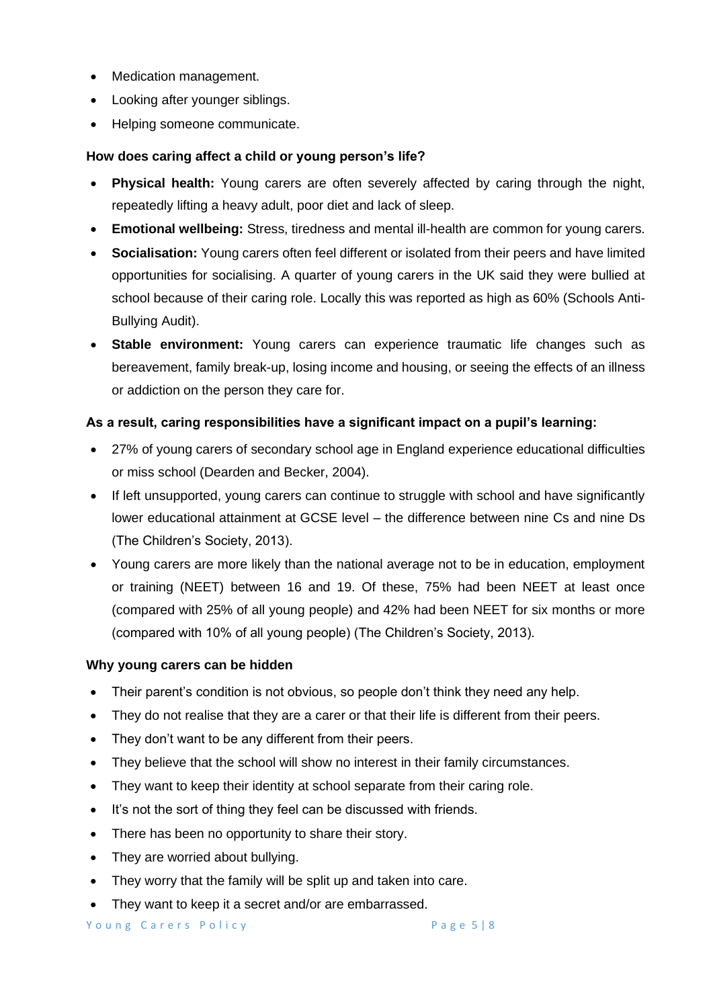- Medication management.
- Looking after younger siblings.
- Helping someone communicate.

## **How does caring affect a child or young person's life?**

- **Physical health:** Young carers are often severely affected by caring through the night, repeatedly lifting a heavy adult, poor diet and lack of sleep.
- **Emotional wellbeing:** Stress, tiredness and mental ill-health are common for young carers.
- **Socialisation:** Young carers often feel different or isolated from their peers and have limited opportunities for socialising. A quarter of young carers in the UK said they were bullied at school because of their caring role. Locally this was reported as high as 60% (Schools Anti-Bullying Audit).
- **Stable environment:** Young carers can experience traumatic life changes such as bereavement, family break-up, losing income and housing, or seeing the effects of an illness or addiction on the person they care for.

## **As a result, caring responsibilities have a significant impact on a pupil's learning:**

- 27% of young carers of secondary school age in England experience educational difficulties or miss school (Dearden and Becker, 2004).
- If left unsupported, young carers can continue to struggle with school and have significantly lower educational attainment at GCSE level – the difference between nine Cs and nine Ds (The Children's Society, 2013).
- Young carers are more likely than the national average not to be in education, employment or training (NEET) between 16 and 19. Of these, 75% had been NEET at least once (compared with 25% of all young people) and 42% had been NEET for six months or more (compared with 10% of all young people) (The Children's Society, 2013).

#### **Why young carers can be hidden**

- Their parent's condition is not obvious, so people don't think they need any help.
- They do not realise that they are a carer or that their life is different from their peers.
- They don't want to be any different from their peers.
- They believe that the school will show no interest in their family circumstances.
- They want to keep their identity at school separate from their caring role.
- It's not the sort of thing they feel can be discussed with friends.
- There has been no opportunity to share their story.
- They are worried about bullying.
- They worry that the family will be split up and taken into care.
- They want to keep it a secret and/or are embarrassed.

Young Carers Policy **Example 20** Page 5 | 8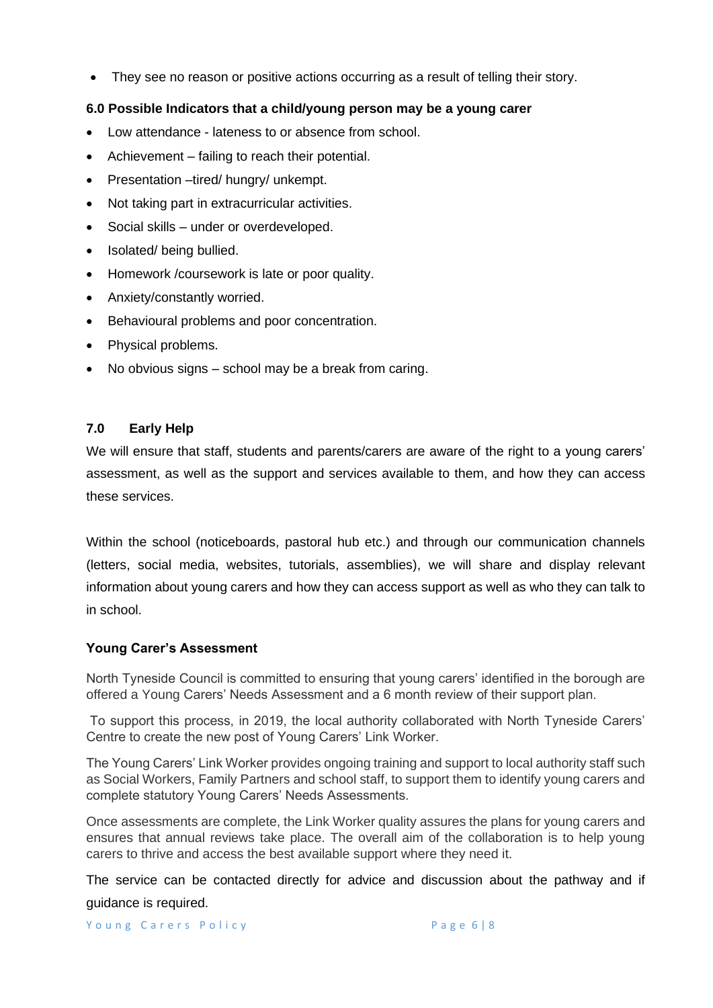• They see no reason or positive actions occurring as a result of telling their story.

## **6.0 Possible Indicators that a child/young person may be a young carer**

- Low attendance lateness to or absence from school.
- Achievement failing to reach their potential.
- Presentation –tired/ hungry/ unkempt.
- Not taking part in extracurricular activities.
- Social skills under or overdeveloped.
- Isolated/ being bullied.
- Homework /coursework is late or poor quality.
- Anxiety/constantly worried.
- Behavioural problems and poor concentration.
- Physical problems.
- No obvious signs school may be a break from caring.

## **7.0 Early Help**

We will ensure that staff, students and parents/carers are aware of the right to a young carers' assessment, as well as the support and services available to them, and how they can access these services.

Within the school (noticeboards, pastoral hub etc.) and through our communication channels (letters, social media, websites, tutorials, assemblies), we will share and display relevant information about young carers and how they can access support as well as who they can talk to in school.

#### **Young Carer's Assessment**

North Tyneside Council is committed to ensuring that young carers' identified in the borough are offered a Young Carers' Needs Assessment and a 6 month review of their support plan.

To support this process, in 2019, the local authority collaborated with North Tyneside Carers' Centre to create the new post of Young Carers' Link Worker.

The Young Carers' Link Worker provides ongoing training and support to local authority staff such as Social Workers, Family Partners and school staff, to support them to identify young carers and complete statutory Young Carers' Needs Assessments.

Once assessments are complete, the Link Worker quality assures the plans for young carers and ensures that annual reviews take place. The overall aim of the collaboration is to help young carers to thrive and access the best available support where they need it.

The service can be contacted directly for advice and discussion about the pathway and if guidance is required.

Young Carers Policy<br>
Page 6 | 8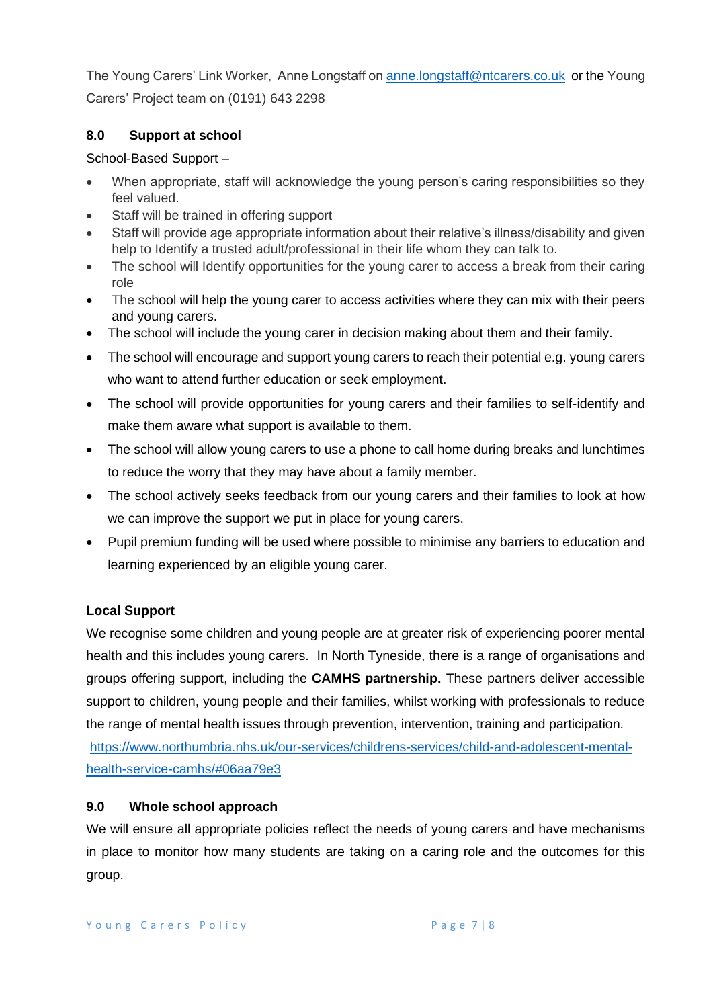The Young Carers' Link Worker, Anne Longstaff o[n anne.longstaff@ntcarers.co.uk](mailto:anne.longstaff@ntcarers.co.uk) or the Young Carers' Project team on (0191) 643 2298

# **8.0 Support at school**

# School-Based Support –

- When appropriate, staff will acknowledge the young person's caring responsibilities so they feel valued.
- Staff will be trained in offering support
- Staff will provide age appropriate information about their relative's illness/disability and given help to Identify a trusted adult/professional in their life whom they can talk to.
- The school will Identify opportunities for the young carer to access a break from their caring role
- The school will help the young carer to access activities where they can mix with their peers and young carers.
- The school will include the young carer in decision making about them and their family.
- The school will encourage and support young carers to reach their potential e.g. young carers who want to attend further education or seek employment.
- The school will provide opportunities for young carers and their families to self-identify and make them aware what support is available to them.
- The school will allow young carers to use a phone to call home during breaks and lunchtimes to reduce the worry that they may have about a family member.
- The school actively seeks feedback from our young carers and their families to look at how we can improve the support we put in place for young carers.
- Pupil premium funding will be used where possible to minimise any barriers to education and learning experienced by an eligible young carer.

# **Local Support**

We recognise some children and young people are at greater risk of experiencing poorer mental health and this includes young carers. In North Tyneside, there is a range of organisations and groups offering support, including the **CAMHS partnership.** These partners deliver accessible support to children, young people and their families, whilst working with professionals to reduce the range of mental health issues through prevention, intervention, training and participation.

[https://www.northumbria.nhs.uk/our-services/childrens-services/child-and-adolescent-mental](https://www.northumbria.nhs.uk/our-services/childrens-services/child-and-adolescent-mental-health-service-camhs/#06aa79e3)[health-service-camhs/#06aa79e3](https://www.northumbria.nhs.uk/our-services/childrens-services/child-and-adolescent-mental-health-service-camhs/#06aa79e3)

## **9.0 Whole school approach**

We will ensure all appropriate policies reflect the needs of young carers and have mechanisms in place to monitor how many students are taking on a caring role and the outcomes for this group.